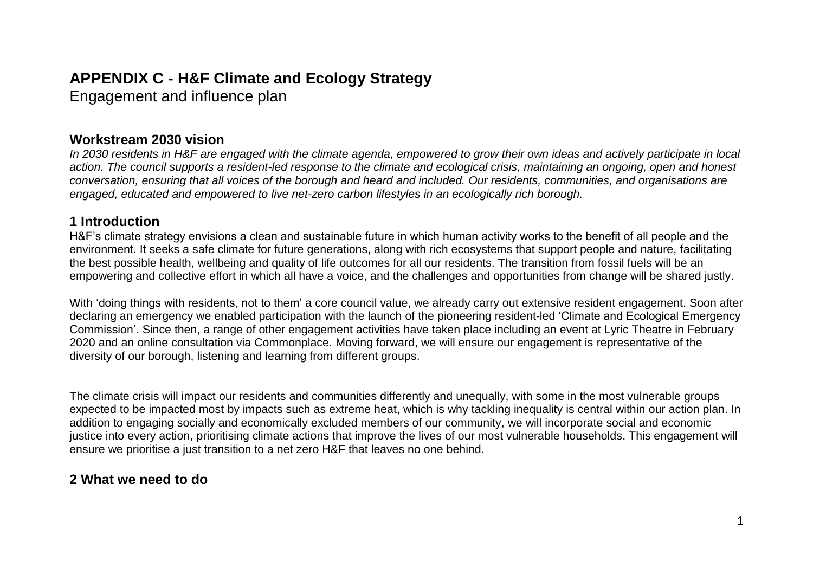# **APPENDIX C - H&F Climate and Ecology Strategy**

Engagement and influence plan

## **Workstream 2030 vision**

*In 2030 residents in H&F are engaged with the climate agenda, empowered to grow their own ideas and actively participate in local action. The council supports a resident-led response to the climate and ecological crisis, maintaining an ongoing, open and honest conversation, ensuring that all voices of the borough and heard and included. Our residents, communities, and organisations are engaged, educated and empowered to live net-zero carbon lifestyles in an ecologically rich borough.* 

## **1 Introduction**

H&F's climate strategy envisions a clean and sustainable future in which human activity works to the benefit of all people and the environment. It seeks a safe climate for future generations, along with rich ecosystems that support people and nature, facilitating the best possible health, wellbeing and quality of life outcomes for all our residents. The transition from fossil fuels will be an empowering and collective effort in which all have a voice, and the challenges and opportunities from change will be shared justly.

With 'doing things with residents, not to them' a core council value, we already carry out extensive resident engagement. Soon after declaring an emergency we enabled participation with the launch of the pioneering resident-led 'Climate and Ecological Emergency Commission'. Since then, a range of other engagement activities have taken place including an event at Lyric Theatre in February 2020 and an online consultation via Commonplace. Moving forward, we will ensure our engagement is representative of the diversity of our borough, listening and learning from different groups.

The climate crisis will impact our residents and communities differently and unequally, with some in the most vulnerable groups expected to be impacted most by impacts such as extreme heat, which is why tackling inequality is central within our action plan. In addition to engaging socially and economically excluded members of our community, we will incorporate social and economic justice into every action, prioritising climate actions that improve the lives of our most vulnerable households. This engagement will ensure we prioritise a just transition to a net zero H&F that leaves no one behind.

# **2 What we need to do**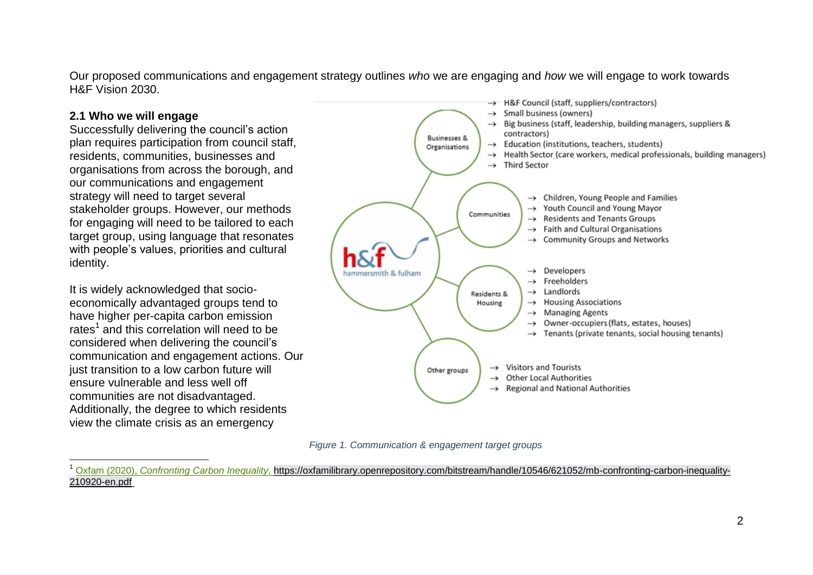Our proposed communications and engagement strategy outlines *who* we are engaging and *how* we will engage to work towards H&F Vision 2030.

#### **2.1 Who we will engage**

 $\overline{\phantom{a}}$ 

Successfully delivering the council's action plan requires participation from council staff, residents, communities, businesses and organisations from across the borough, and our communications and engagement strategy will need to target several stakeholder groups. However, our methods for engaging will need to be tailored to each target group, using language that resonates with people's values, priorities and cultural identity.

It is widely acknowledged that socioeconomically advantaged groups tend to have higher per-capita carbon emission rates<sup>1</sup> and this correlation will need to be considered when delivering the council's communication and engagement actions. Our just transition to a low carbon future will ensure vulnerable and less well off communities are not disadvantaged. Additionally, the degree to which residents view the climate crisis as an emergency





<sup>1</sup> Oxfam (2020), *Confronting Carbon Inequality*, [https://oxfamilibrary.openrepository.com/bitstream/handle/10546/621052/mb-confronting-carbon-inequality-](https://oxfamilibrary.openrepository.com/bitstream/handle/10546/621052/mb-confronting-carbon-inequality-210920-en.pdf)[210920-en.pdf](https://oxfamilibrary.openrepository.com/bitstream/handle/10546/621052/mb-confronting-carbon-inequality-210920-en.pdf)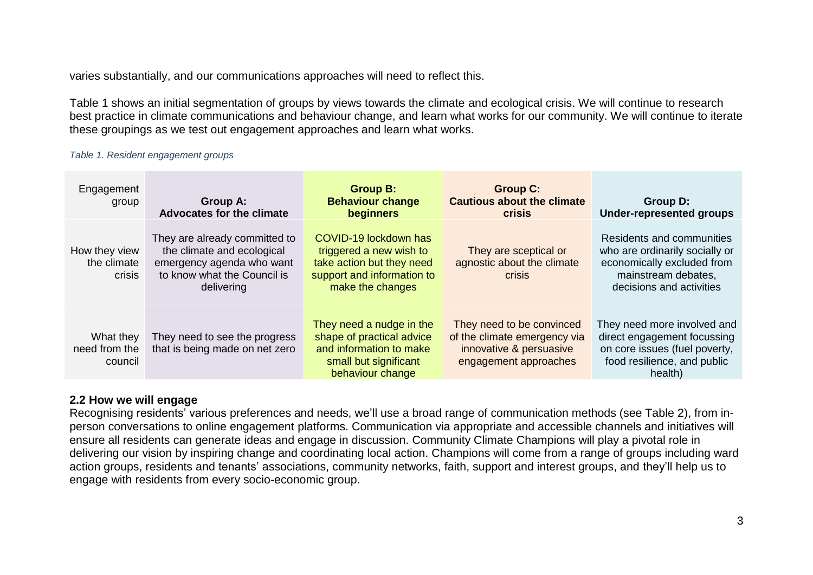varies substantially, and our communications approaches will need to reflect this.

Table 1 shows an initial segmentation of groups by views towards the climate and ecological crisis. We will continue to research best practice in climate communications and behaviour change, and learn what works for our community. We will continue to iterate these groupings as we test out engagement approaches and learn what works.

#### *Table 1. Resident engagement groups*

| Engagement<br>group                    | Group A:<br><b>Advocates for the climate</b>                                                                                          | <b>Group B:</b><br><b>Behaviour change</b><br><b>beginners</b>                                                                  | <b>Group C:</b><br><b>Cautious about the climate</b><br><b>crisis</b>                                         | Group D:<br><b>Under-represented groups</b>                                                                                                  |
|----------------------------------------|---------------------------------------------------------------------------------------------------------------------------------------|---------------------------------------------------------------------------------------------------------------------------------|---------------------------------------------------------------------------------------------------------------|----------------------------------------------------------------------------------------------------------------------------------------------|
| How they view<br>the climate<br>crisis | They are already committed to<br>the climate and ecological<br>emergency agenda who want<br>to know what the Council is<br>delivering | COVID-19 lockdown has<br>triggered a new wish to<br>take action but they need<br>support and information to<br>make the changes | They are sceptical or<br>agnostic about the climate<br>crisis                                                 | Residents and communities<br>who are ordinarily socially or<br>economically excluded from<br>mainstream debates.<br>decisions and activities |
| What they<br>need from the<br>council  | They need to see the progress<br>that is being made on net zero                                                                       | They need a nudge in the<br>shape of practical advice<br>and information to make<br>small but significant<br>behaviour change   | They need to be convinced<br>of the climate emergency via<br>innovative & persuasive<br>engagement approaches | They need more involved and<br>direct engagement focussing<br>on core issues (fuel poverty,<br>food resilience, and public<br>health)        |

#### **2.2 How we will engage**

Recognising residents' various preferences and needs, we'll use a broad range of communication methods (see Table 2), from inperson conversations to online engagement platforms. Communication via appropriate and accessible channels and initiatives will ensure all residents can generate ideas and engage in discussion. Community Climate Champions will play a pivotal role in delivering our vision by inspiring change and coordinating local action. Champions will come from a range of groups including ward action groups, residents and tenants' associations, community networks, faith, support and interest groups, and they'll help us to engage with residents from every socio-economic group.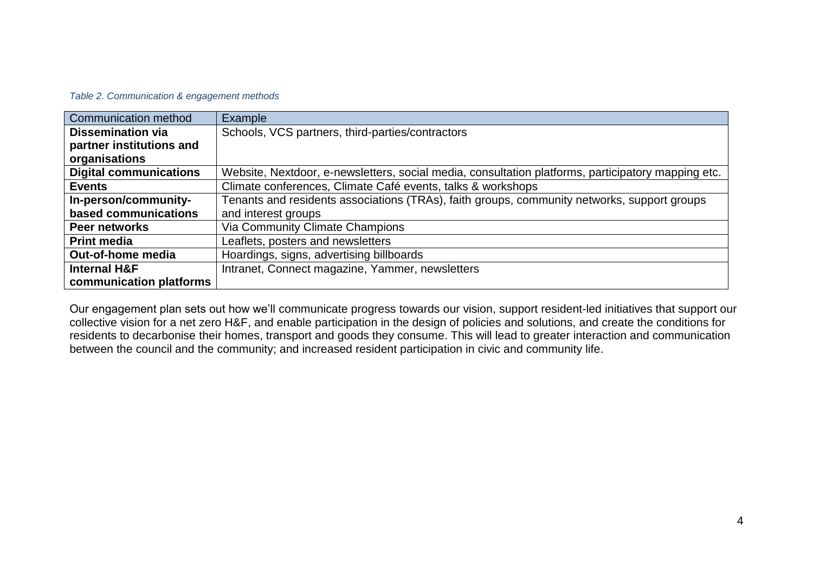#### *Table 2. Communication & engagement methods*

| Communication method          | Example                                                                                            |
|-------------------------------|----------------------------------------------------------------------------------------------------|
| <b>Dissemination via</b>      | Schools, VCS partners, third-parties/contractors                                                   |
| partner institutions and      |                                                                                                    |
| organisations                 |                                                                                                    |
| <b>Digital communications</b> | Website, Nextdoor, e-newsletters, social media, consultation platforms, participatory mapping etc. |
| <b>Events</b>                 | Climate conferences, Climate Café events, talks & workshops                                        |
| In-person/community-          | Tenants and residents associations (TRAs), faith groups, community networks, support groups        |
| based communications          | and interest groups                                                                                |
| Peer networks                 | Via Community Climate Champions                                                                    |
| <b>Print media</b>            | Leaflets, posters and newsletters                                                                  |
| Out-of-home media             | Hoardings, signs, advertising billboards                                                           |
| <b>Internal H&amp;F</b>       | Intranet, Connect magazine, Yammer, newsletters                                                    |
| communication platforms       |                                                                                                    |

Our engagement plan sets out how we'll communicate progress towards our vision, support resident-led initiatives that support our collective vision for a net zero H&F, and enable participation in the design of policies and solutions, and create the conditions for residents to decarbonise their homes, transport and goods they consume. This will lead to greater interaction and communication between the council and the community; and increased resident participation in civic and community life.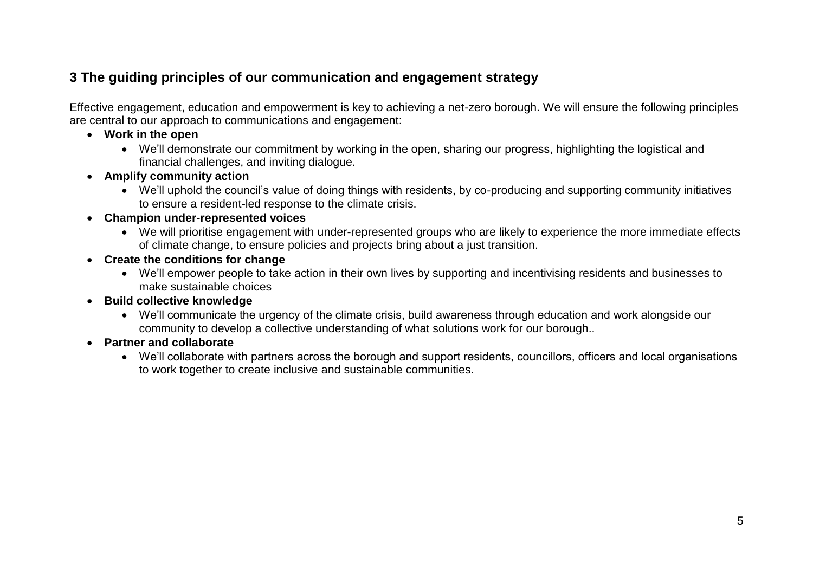# **3 The guiding principles of our communication and engagement strategy**

Effective engagement, education and empowerment is key to achieving a net-zero borough. We will ensure the following principles are central to our approach to communications and engagement:

- **Work in the open**
	- We'll demonstrate our commitment by working in the open, sharing our progress, highlighting the logistical and financial challenges, and inviting dialogue.
- **Amplify community action**
	- We'll uphold the council's value of doing things with residents, by co-producing and supporting community initiatives to ensure a resident-led response to the climate crisis.
- **Champion under-represented voices**
	- We will prioritise engagement with under-represented groups who are likely to experience the more immediate effects of climate change, to ensure policies and projects bring about a just transition.
- **Create the conditions for change**
	- We'll empower people to take action in their own lives by supporting and incentivising residents and businesses to make sustainable choices
- **Build collective knowledge**
	- We'll communicate the urgency of the climate crisis, build awareness through education and work alongside our community to develop a collective understanding of what solutions work for our borough..
- **Partner and collaborate**
	- We'll collaborate with partners across the borough and support residents, councillors, officers and local organisations to work together to create inclusive and sustainable communities.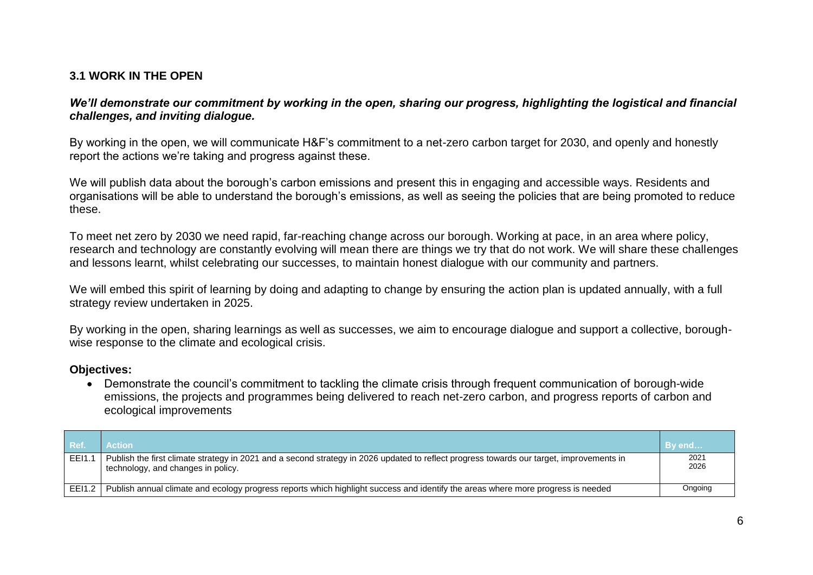### **3.1 WORK IN THE OPEN**

*We'll demonstrate our commitment by working in the open, sharing our progress, highlighting the logistical and financial challenges, and inviting dialogue.*

By working in the open, we will communicate H&F's commitment to a net-zero carbon target for 2030, and openly and honestly report the actions we're taking and progress against these.

We will publish data about the borough's carbon emissions and present this in engaging and accessible ways. Residents and organisations will be able to understand the borough's emissions, as well as seeing the policies that are being promoted to reduce these.

To meet net zero by 2030 we need rapid, far-reaching change across our borough. Working at pace, in an area where policy, research and technology are constantly evolving will mean there are things we try that do not work. We will share these challenges and lessons learnt, whilst celebrating our successes, to maintain honest dialogue with our community and partners.

We will embed this spirit of learning by doing and adapting to change by ensuring the action plan is updated annually, with a full strategy review undertaken in 2025.

By working in the open, sharing learnings as well as successes, we aim to encourage dialogue and support a collective, boroughwise response to the climate and ecological crisis.

#### **Objectives:**

 Demonstrate the council's commitment to tackling the climate crisis through frequent communication of borough-wide emissions, the projects and programmes being delivered to reach net-zero carbon, and progress reports of carbon and ecological improvements

| l Ref. | <b>Action</b>                                                                                                                                                                  | By end       |
|--------|--------------------------------------------------------------------------------------------------------------------------------------------------------------------------------|--------------|
| EEI1.  | Publish the first climate strategy in 2021 and a second strategy in 2026 updated to reflect progress towards our target, improvements in<br>technology, and changes in policy. | 2021<br>2026 |
| EEI1.2 | Publish annual climate and ecology progress reports which highlight success and identify the areas where more progress is needed                                               | Ongoing      |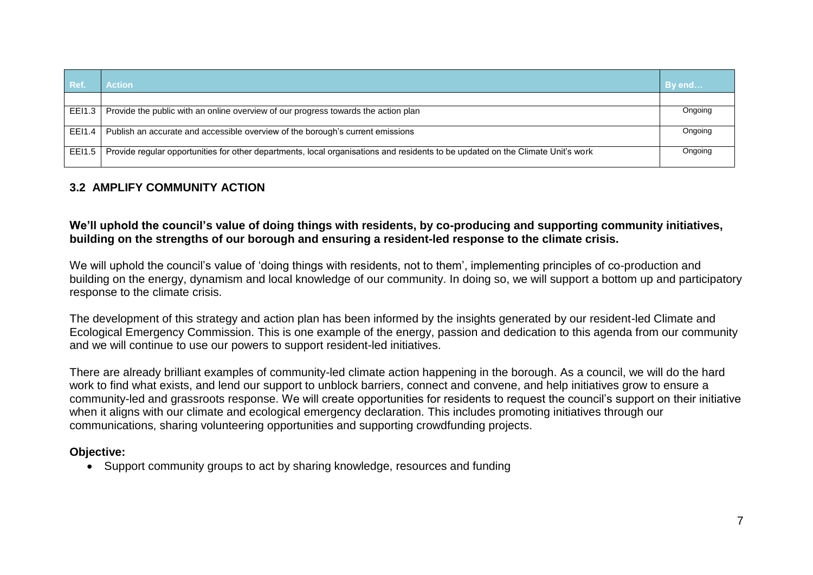| Ref.   | <b>Action</b>                                                                                                                   | By end  |
|--------|---------------------------------------------------------------------------------------------------------------------------------|---------|
|        |                                                                                                                                 |         |
| EEI1.3 | Provide the public with an online overview of our progress towards the action plan                                              | Ongoing |
| EEI1.4 | Publish an accurate and accessible overview of the borough's current emissions                                                  | Ongoing |
| EEI1.5 | Provide regular opportunities for other departments, local organisations and residents to be updated on the Climate Unit's work | Ongoing |

### **3.2 AMPLIFY COMMUNITY ACTION**

#### **We'll uphold the council's value of doing things with residents, by co-producing and supporting community initiatives, building on the strengths of our borough and ensuring a resident-led response to the climate crisis.**

We will uphold the council's value of 'doing things with residents, not to them', implementing principles of co-production and building on the energy, dynamism and local knowledge of our community. In doing so, we will support a bottom up and participatory response to the climate crisis.

The development of this strategy and action plan has been informed by the insights generated by our resident-led Climate and Ecological Emergency Commission. This is one example of the energy, passion and dedication to this agenda from our community and we will continue to use our powers to support resident-led initiatives.

There are already brilliant examples of community-led climate action happening in the borough. As a council, we will do the hard work to find what exists, and lend our support to unblock barriers, connect and convene, and help initiatives grow to ensure a community-led and grassroots response. We will create opportunities for residents to request the council's support on their initiative when it aligns with our climate and ecological emergency declaration. This includes promoting initiatives through our communications, sharing volunteering opportunities and supporting crowdfunding projects.

#### **Objective:**

• Support community groups to act by sharing knowledge, resources and funding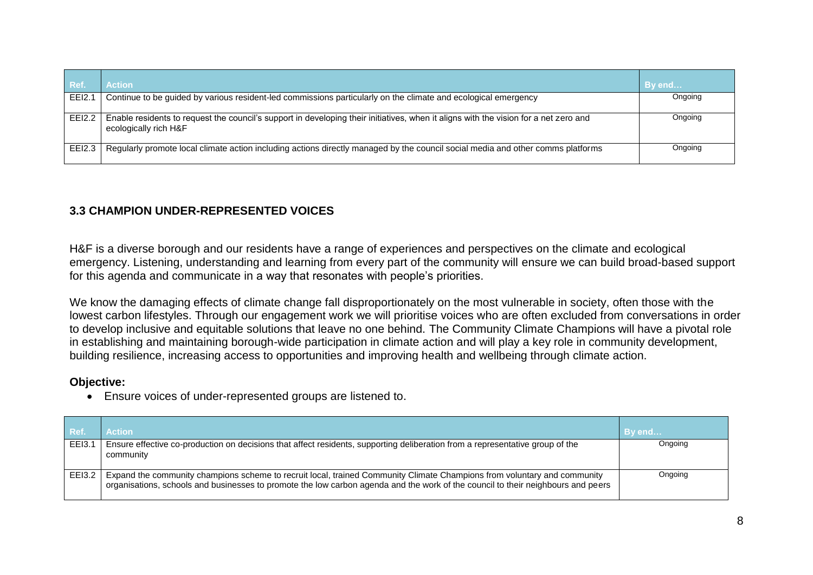| ∣ Ref.        | <b>Action</b>                                                                                                                                                 | By end  |
|---------------|---------------------------------------------------------------------------------------------------------------------------------------------------------------|---------|
| EEl2.1        | Continue to be guided by various resident-led commissions particularly on the climate and ecological emergency                                                | Ongoing |
| <b>EEI2.2</b> | Enable residents to request the council's support in developing their initiatives, when it aligns with the vision for a net zero and<br>ecologically rich H&F | Ongoing |
| EEI2.3        | Regularly promote local climate action including actions directly managed by the council social media and other comms platforms                               | Ongoing |

### **3.3 CHAMPION UNDER-REPRESENTED VOICES**

H&F is a diverse borough and our residents have a range of experiences and perspectives on the climate and ecological emergency. Listening, understanding and learning from every part of the community will ensure we can build broad-based support for this agenda and communicate in a way that resonates with people's priorities.

We know the damaging effects of climate change fall disproportionately on the most vulnerable in society, often those with the lowest carbon lifestyles. Through our engagement work we will prioritise voices who are often excluded from conversations in order to develop inclusive and equitable solutions that leave no one behind. The Community Climate Champions will have a pivotal role in establishing and maintaining borough-wide participation in climate action and will play a key role in community development, building resilience, increasing access to opportunities and improving health and wellbeing through climate action.

#### **Objective:**

Ensure voices of under-represented groups are listened to.

| Ref.          | <b>Action</b>                                                                                                                                                                                                                                                | By end  |
|---------------|--------------------------------------------------------------------------------------------------------------------------------------------------------------------------------------------------------------------------------------------------------------|---------|
| EEI3.1        | Ensure effective co-production on decisions that affect residents, supporting deliberation from a representative group of the<br>community                                                                                                                   | Ongoing |
| <b>EEI3.2</b> | Expand the community champions scheme to recruit local, trained Community Climate Champions from voluntary and community<br>organisations, schools and businesses to promote the low carbon agenda and the work of the council to their neighbours and peers | Ongoing |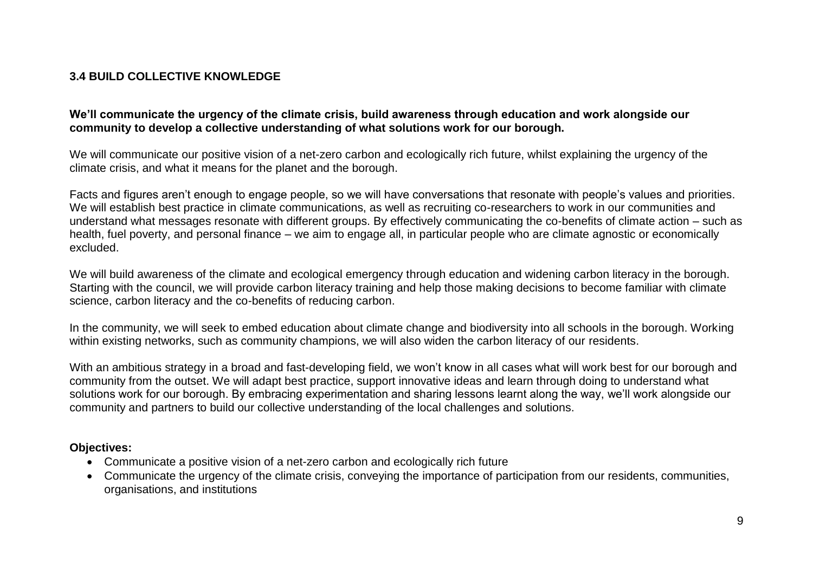### **3.4 BUILD COLLECTIVE KNOWLEDGE**

#### **We'll communicate the urgency of the climate crisis, build awareness through education and work alongside our community to develop a collective understanding of what solutions work for our borough.**

We will communicate our positive vision of a net-zero carbon and ecologically rich future, whilst explaining the urgency of the climate crisis, and what it means for the planet and the borough.

Facts and figures aren't enough to engage people, so we will have conversations that resonate with people's values and priorities. We will establish best practice in climate communications, as well as recruiting co-researchers to work in our communities and understand what messages resonate with different groups. By effectively communicating the co-benefits of climate action – such as health, fuel poverty, and personal finance – we aim to engage all, in particular people who are climate agnostic or economically excluded.

We will build awareness of the climate and ecological emergency through education and widening carbon literacy in the borough. Starting with the council, we will provide carbon literacy training and help those making decisions to become familiar with climate science, carbon literacy and the co-benefits of reducing carbon.

In the community, we will seek to embed education about climate change and biodiversity into all schools in the borough. Working within existing networks, such as community champions, we will also widen the carbon literacy of our residents.

With an ambitious strategy in a broad and fast-developing field, we won't know in all cases what will work best for our borough and community from the outset. We will adapt best practice, support innovative ideas and learn through doing to understand what solutions work for our borough. By embracing experimentation and sharing lessons learnt along the way, we'll work alongside our community and partners to build our collective understanding of the local challenges and solutions.

#### **Objectives:**

- Communicate a positive vision of a net-zero carbon and ecologically rich future
- Communicate the urgency of the climate crisis, conveying the importance of participation from our residents, communities, organisations, and institutions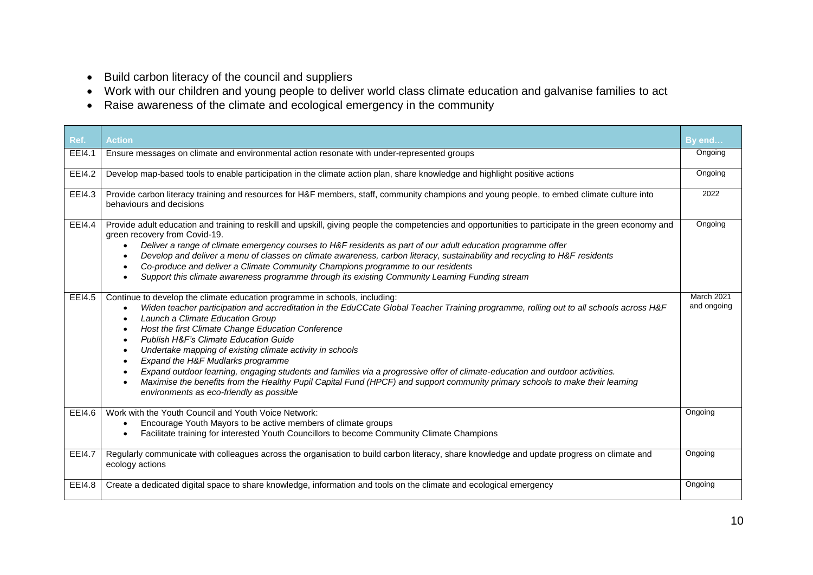- Build carbon literacy of the council and suppliers
- Work with our children and young people to deliver world class climate education and galvanise families to act
- Raise awareness of the climate and ecological emergency in the community

| Ref.          | <b>Action</b>                                                                                                                                                                                                                                                                                                                                                                                                                                                                                                                                                                                                                                                                                                                                                                                                              | By end                    |
|---------------|----------------------------------------------------------------------------------------------------------------------------------------------------------------------------------------------------------------------------------------------------------------------------------------------------------------------------------------------------------------------------------------------------------------------------------------------------------------------------------------------------------------------------------------------------------------------------------------------------------------------------------------------------------------------------------------------------------------------------------------------------------------------------------------------------------------------------|---------------------------|
| EEI4.1        | Ensure messages on climate and environmental action resonate with under-represented groups                                                                                                                                                                                                                                                                                                                                                                                                                                                                                                                                                                                                                                                                                                                                 | Ongoing                   |
| EEI4.2        | Develop map-based tools to enable participation in the climate action plan, share knowledge and highlight positive actions                                                                                                                                                                                                                                                                                                                                                                                                                                                                                                                                                                                                                                                                                                 | Ongoing                   |
| EEI4.3        | Provide carbon literacy training and resources for H&F members, staff, community champions and young people, to embed climate culture into<br>behaviours and decisions                                                                                                                                                                                                                                                                                                                                                                                                                                                                                                                                                                                                                                                     | 2022                      |
| EEI4.4        | Provide adult education and training to reskill and upskill, giving people the competencies and opportunities to participate in the green economy and<br>green recovery from Covid-19.<br>Deliver a range of climate emergency courses to H&F residents as part of our adult education programme offer<br>$\bullet$<br>Develop and deliver a menu of classes on climate awareness, carbon literacy, sustainability and recycling to H&F residents<br>Co-produce and deliver a Climate Community Champions programme to our residents<br>$\bullet$<br>Support this climate awareness programme through its existing Community Learning Funding stream                                                                                                                                                                       | Ongoing                   |
| EEI4.5        | Continue to develop the climate education programme in schools, including:<br>Widen teacher participation and accreditation in the EduCCate Global Teacher Training programme, rolling out to all schools across H&F<br>Launch a Climate Education Group<br>Host the first Climate Change Education Conference<br>$\bullet$<br>Publish H&F's Climate Education Guide<br>$\bullet$<br>Undertake mapping of existing climate activity in schools<br>$\bullet$<br>Expand the H&F Mudlarks programme<br>$\bullet$<br>Expand outdoor learning, engaging students and families via a progressive offer of climate-education and outdoor activities.<br>Maximise the benefits from the Healthy Pupil Capital Fund (HPCF) and support community primary schools to make their learning<br>environments as eco-friendly as possible | March 2021<br>and ongoing |
| EEI4.6        | Work with the Youth Council and Youth Voice Network:<br>Encourage Youth Mayors to be active members of climate groups<br>Facilitate training for interested Youth Councillors to become Community Climate Champions                                                                                                                                                                                                                                                                                                                                                                                                                                                                                                                                                                                                        | Ongoing                   |
| <b>EEI4.7</b> | Regularly communicate with colleagues across the organisation to build carbon literacy, share knowledge and update progress on climate and<br>ecology actions                                                                                                                                                                                                                                                                                                                                                                                                                                                                                                                                                                                                                                                              | Ongoing                   |
| EEI4.8        | Create a dedicated digital space to share knowledge, information and tools on the climate and ecological emergency                                                                                                                                                                                                                                                                                                                                                                                                                                                                                                                                                                                                                                                                                                         | Ongoing                   |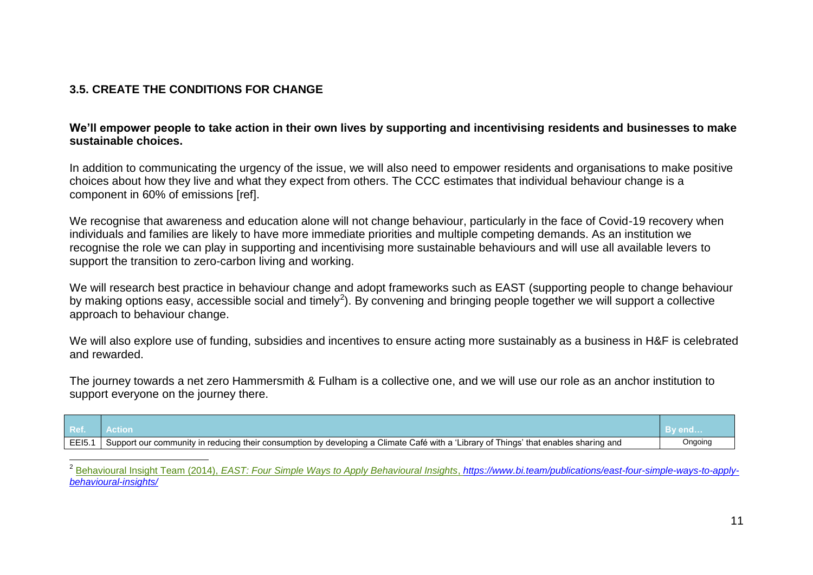### **3.5. CREATE THE CONDITIONS FOR CHANGE**

#### **We'll empower people to take action in their own lives by supporting and incentivising residents and businesses to make sustainable choices.**

In addition to communicating the urgency of the issue, we will also need to empower residents and organisations to make positive choices about how they live and what they expect from others. The CCC estimates that individual behaviour change is a component in 60% of emissions [ref].

We recognise that awareness and education alone will not change behaviour, particularly in the face of Covid-19 recovery when individuals and families are likely to have more immediate priorities and multiple competing demands. As an institution we recognise the role we can play in supporting and incentivising more sustainable behaviours and will use all available levers to support the transition to zero-carbon living and working.

We will research best practice in behaviour change and adopt frameworks such as EAST (supporting people to change behaviour by making options easy, accessible social and timely<sup>2</sup>). By convening and bringing people together we will support a collective approach to behaviour change.

We will also explore use of funding, subsidies and incentives to ensure acting more sustainably as a business in H&F is celebrated and rewarded.

The journey towards a net zero Hammersmith & Fulham is a collective one, and we will use our role as an anchor institution to support everyone on the journey there.

| Ref.  |                                                                                                                                                 | ∣ By end… |
|-------|-------------------------------------------------------------------------------------------------------------------------------------------------|-----------|
| EEI5. | Support our community in reducing their consumption by developing a Climate Café with a 'Li<br>Librarv of T<br>Things' that enables sharing and | Ongoing   |

 $\overline{\phantom{a}}$ 2 Behavioural Insight Team (2014), *EAST: Four Simple Ways to Apply Behavioural Insights*, *[https://www.bi.team/publications/east-four-simple-ways-to-apply](https://www.bi.team/publications/east-four-simple-ways-to-apply-behavioural-insights/)[behavioural-insights/](https://www.bi.team/publications/east-four-simple-ways-to-apply-behavioural-insights/)*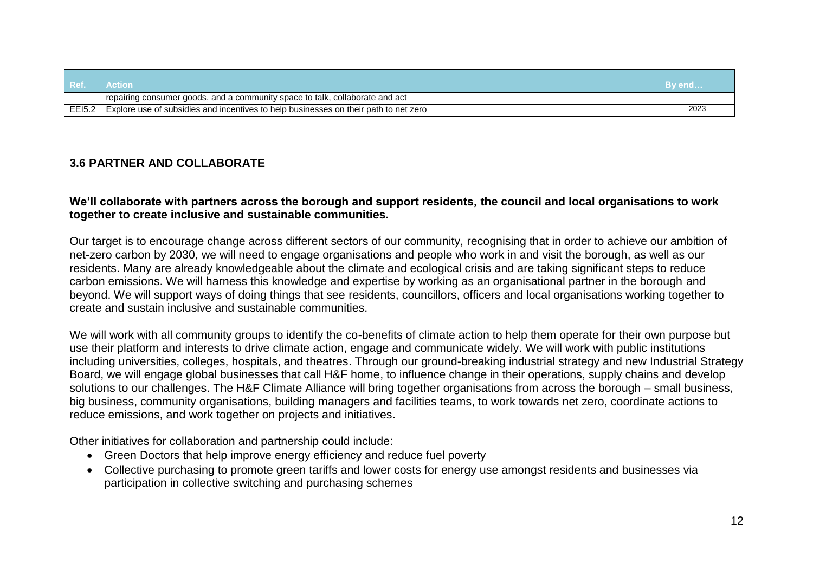| Ref.   | ction                                                                                |      |
|--------|--------------------------------------------------------------------------------------|------|
|        | I repairing consumer goods, and a community space to talk, collaborate and act       |      |
| EE15.2 | Explore use of subsidies and incentives to help businesses on their path to net zero | 2023 |

#### **3.6 PARTNER AND COLLABORATE**

#### **We'll collaborate with partners across the borough and support residents, the council and local organisations to work together to create inclusive and sustainable communities.**

Our target is to encourage change across different sectors of our community, recognising that in order to achieve our ambition of net-zero carbon by 2030, we will need to engage organisations and people who work in and visit the borough, as well as our residents. Many are already knowledgeable about the climate and ecological crisis and are taking significant steps to reduce carbon emissions. We will harness this knowledge and expertise by working as an organisational partner in the borough and beyond. We will support ways of doing things that see residents, councillors, officers and local organisations working together to create and sustain inclusive and sustainable communities.

We will work with all community groups to identify the co-benefits of climate action to help them operate for their own purpose but use their platform and interests to drive climate action, engage and communicate widely. We will work with public institutions including universities, colleges, hospitals, and theatres. Through our ground-breaking industrial strategy and new Industrial Strategy Board, we will engage global businesses that call H&F home, to influence change in their operations, supply chains and develop solutions to our challenges. The H&F Climate Alliance will bring together organisations from across the borough – small business, big business, community organisations, building managers and facilities teams, to work towards net zero, coordinate actions to reduce emissions, and work together on projects and initiatives.

Other initiatives for collaboration and partnership could include:

- Green Doctors that help improve energy efficiency and reduce fuel poverty
- Collective purchasing to promote green tariffs and lower costs for energy use amongst residents and businesses via participation in collective switching and purchasing schemes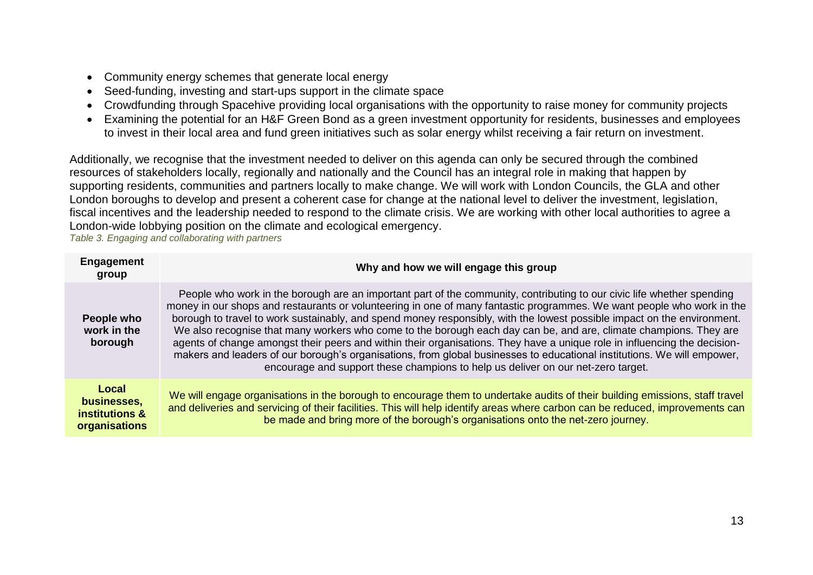- Community energy schemes that generate local energy
- Seed-funding, investing and start-ups support in the climate space
- Crowdfunding through Spacehive providing local organisations with the opportunity to raise money for community projects
- Examining the potential for an H&F Green Bond as a green investment opportunity for residents, businesses and employees to invest in their local area and fund green initiatives such as solar energy whilst receiving a fair return on investment.

Additionally, we recognise that the investment needed to deliver on this agenda can only be secured through the combined resources of stakeholders locally, regionally and nationally and the Council has an integral role in making that happen by supporting residents, communities and partners locally to make change. We will work with London Councils, the GLA and other London boroughs to develop and present a coherent case for change at the national level to deliver the investment, legislation, fiscal incentives and the leadership needed to respond to the climate crisis. We are working with other local authorities to agree a London-wide lobbying position on the climate and ecological emergency.

*Table 3. Engaging and collaborating with partners*

| <b>Engagement</b><br>group                              | Why and how we will engage this group                                                                                                                                                                                                                                                                                                                                                                                                                                                                                                                                                                                                                                                                                                                                                                                                        |
|---------------------------------------------------------|----------------------------------------------------------------------------------------------------------------------------------------------------------------------------------------------------------------------------------------------------------------------------------------------------------------------------------------------------------------------------------------------------------------------------------------------------------------------------------------------------------------------------------------------------------------------------------------------------------------------------------------------------------------------------------------------------------------------------------------------------------------------------------------------------------------------------------------------|
| People who<br>work in the<br>borough                    | People who work in the borough are an important part of the community, contributing to our civic life whether spending<br>money in our shops and restaurants or volunteering in one of many fantastic programmes. We want people who work in the<br>borough to travel to work sustainably, and spend money responsibly, with the lowest possible impact on the environment.<br>We also recognise that many workers who come to the borough each day can be, and are, climate champions. They are<br>agents of change amongst their peers and within their organisations. They have a unique role in influencing the decision-<br>makers and leaders of our borough's organisations, from global businesses to educational institutions. We will empower,<br>encourage and support these champions to help us deliver on our net-zero target. |
| Local<br>businesses,<br>institutions &<br>organisations | We will engage organisations in the borough to encourage them to undertake audits of their building emissions, staff travel<br>and deliveries and servicing of their facilities. This will help identify areas where carbon can be reduced, improvements can<br>be made and bring more of the borough's organisations onto the net-zero journey.                                                                                                                                                                                                                                                                                                                                                                                                                                                                                             |